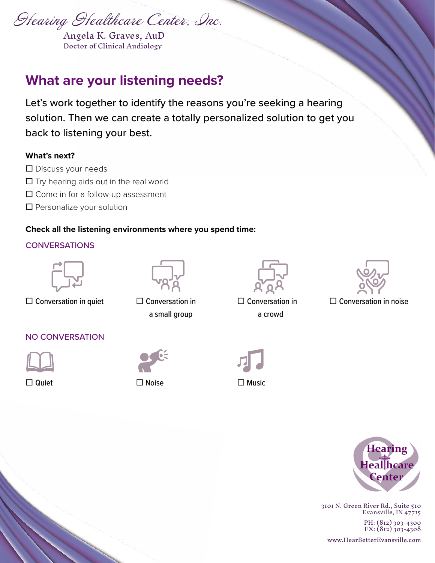Hearing Healthcare Center, Inc.

Angela K. Graves, AuD Doctor of Clinical Audiology

# **What are your listening needs?**

Let's work together to identify the reasons you're seeking a hearing solution. Then we can create a totally personalized solution to get you back to listening your best.

#### **What's next?**

- $\square$  Discuss your needs
- $\square$  Try hearing aids out in the real world
- $\square$  Come in for a follow-up assessment
- □ Personalize your solution

#### **Check all the listening environments where you spend time:**

#### **CONVERSATIONS**



 $\Box$  Conversation in quiet  $\Box$  Conversation in



a small group





 $\square$  Conversation in a crowd

#### NO CONVERSATION



 $\square$  Quiet  $\square$  Noise  $\square$  Music







3101 N. Green River Rd., Suite 510 Evansville, IN 47715

PH: (812) 303-4300 FX: (812) 303-4308

www.HearBetterEvansville.com